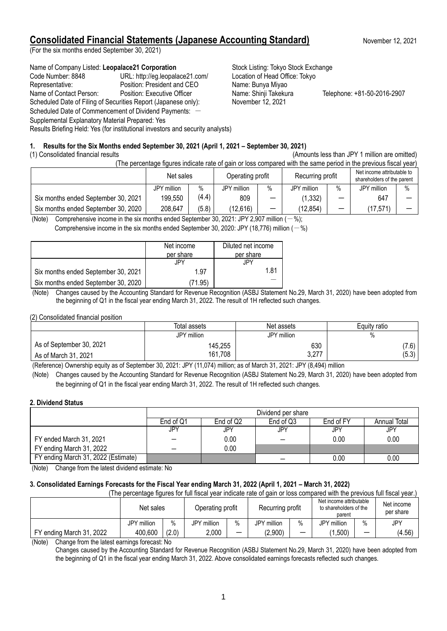# **Consolidated Financial Statements (Japanese Accounting Standard)** November 12, 2021

(For the six months ended September 30, 2021)

Name of Company Listed: Leopalace21 Corporation **Stock Listing: Tokyo Stock Exchange** Code Number: 8848 URL: http://eg.leopalace21.com/ Location of Head Office: Tokyo Representative: Position: President and CEO Name: Bunya Miyao Name of Contact Person: Position: Executive Officer Name: Shinji Takekura Telephone: +81-50-2016-2907 Scheduled Date of Filing of Securities Report (Japanese only): November 12, 2021 Scheduled Date of Commencement of Dividend Payments: -Supplemental Explanatory Material Prepared: Yes

Results Briefing Held: Yes (for institutional investors and security analysts)

# **1. Results for the Six Months ended September 30, 2021 (April 1, 2021 – September 30, 2021)**

(1) Consolidated financial results (Amounts less than JPY 1 million are omitted)

(The percentage figures indicate rate of gain or loss compared with the same period in the previous fiscal year)

|                                     | Net sales   |       | Operating profit |      | Recurring profit |                          | Net income attributable to<br>shareholders of the parent |      |
|-------------------------------------|-------------|-------|------------------|------|------------------|--------------------------|----------------------------------------------------------|------|
|                                     | JPY million | %     | JPY million      | $\%$ | JPY million      | $\%$                     | JPY million                                              | $\%$ |
| Six months ended September 30, 2021 | 199,550     | (4.4) | 809              |      | (1, 332)         | -                        | 647                                                      |      |
| Six months ended September 30, 2020 | 208,647     | (5.8) | (12,616)         | -    | (12,854)         | $\overline{\phantom{m}}$ | (17, 571)                                                |      |

(Note) Comprehensive income in the six months ended September 30, 2021; JPY 2,907 million  $(-\%)$ ;

Comprehensive income in the six months ended September 30, 2020: JPY (18,776) million  $(-\%)$ 

|                                     | Net income<br>per share | Diluted net income<br>per share |
|-------------------------------------|-------------------------|---------------------------------|
|                                     | JPY                     | JPY                             |
| Six months ended September 30, 2021 | 1.97                    | 1 81                            |
| Six months ended September 30, 2020 | (71.95)                 |                                 |

- (Note) Changes caused by the Accounting Standard for Revenue Recognition (ASBJ Statement No.29, March 31, 2020) have been adopted from the beginning of Q1 in the fiscal year ending March 31, 2022. The result of 1H reflected such changes.

(2) Consolidated financial position

|                          | Total assets | Net assets  | Equity ratio |
|--------------------------|--------------|-------------|--------------|
|                          | JPY million  | JPY million | %            |
| As of September 30, 2021 | 145,255      | 630         | (7.6)        |
| As of March 31, 2021     | 161,708      | 3,277       | (5.3)        |

(Reference) Ownership equity as of September 30, 2021: JPY (11,074) million; as of March 31, 2021: JPY (8,494) million

(Note) Changes caused by the Accounting Standard for Revenue Recognition (ASBJ Statement No.29, March 31, 2020) have been adopted from the beginning of Q1 in the fiscal year ending March 31, 2022. The result of 1H reflected such changes.

## **2. Dividend Status**

|                                     | Dividend per share |                                                     |     |          |      |  |  |
|-------------------------------------|--------------------|-----------------------------------------------------|-----|----------|------|--|--|
|                                     | End of Q1          | End of Q2<br>End of FY<br>End of Q3<br>Annual Total |     |          |      |  |  |
|                                     | JPY                | JPY                                                 | JPY | JPY      | JPY  |  |  |
| FY ended March 31, 2021             |                    | 0.00                                                |     | 0.00     | 0.00 |  |  |
| FY ending March 31, 2022            |                    | 0.00                                                |     |          |      |  |  |
| FY ending March 31, 2022 (Estimate) |                    |                                                     |     | $0.00\,$ | 0.00 |  |  |

(Note) Change from the latest dividend estimate: No

# **3. Consolidated Earnings Forecasts for the Fiscal Year ending March 31, 2022 (April 1, 2021 – March 31, 2022)**

(The percentage figures for full fiscal year indicate rate of gain or loss compared with the previous full fiscal year.)

|                                                                          | Net sales   |       | Recurring profit<br>Operating profit |      | Net income attributable<br>to shareholders of the<br>parent |                          | Net income<br>per share |                          |        |
|--------------------------------------------------------------------------|-------------|-------|--------------------------------------|------|-------------------------------------------------------------|--------------------------|-------------------------|--------------------------|--------|
|                                                                          | JPY million | $\%$  | JPY million                          | $\%$ | JPY million                                                 | $\%$                     | JPY<br>million          | $\%$                     | JPY    |
| FY ending March 31, 2022                                                 | 400,600     | (2.0) | 2.000                                | —    | (2,900)                                                     | $\overline{\phantom{0}}$ | ,500)                   | $\overline{\phantom{a}}$ | (4.56) |
| (AL <sub>1</sub> )<br>Channel from the Island communication of the Mini- |             |       |                                      |      |                                                             |                          |                         |                          |        |

(Note) Change from the latest earnings forecast: No

Changes caused by the Accounting Standard for Revenue Recognition (ASBJ Statement No.29, March 31, 2020) have been adopted from the beginning of Q1 in the fiscal year ending March 31, 2022. Above consolidated earnings forecasts reflected such changes.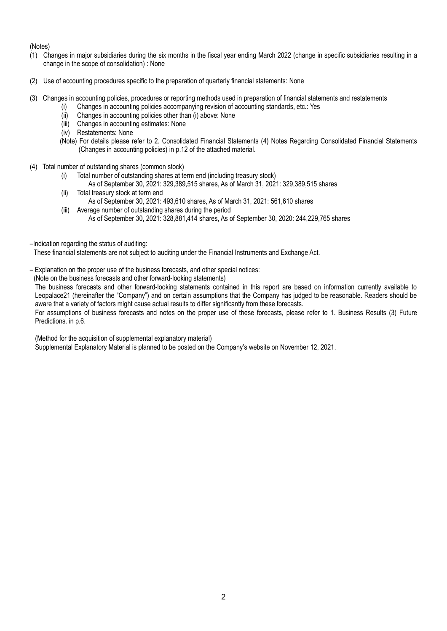(Notes)

- (1) Changes in major subsidiaries during the six months in the fiscal year ending March 2022 (change in specific subsidiaries resulting in a change in the scope of consolidation) : None
- (2) Use of accounting procedures specific to the preparation of quarterly financial statements: None
- (3) Changes in accounting policies, procedures or reporting methods used in preparation of financial statements and restatements
	- (i) Changes in accounting policies accompanying revision of accounting standards, etc.: Yes
	- (ii) Changes in accounting policies other than (i) above: None
	- (iii) Changes in accounting estimates: None
	- (iv) Restatements: None
	- (Note) For details please refer to 2. Consolidated Financial Statements (4) Notes Regarding Consolidated Financial Statements (Changes in accounting policies) in p.12 of the attached material.
- (4) Total number of outstanding shares (common stock)
	- (i) Total number of outstanding shares at term end (including treasury stock)
		- As of September 30, 2021: 329,389,515 shares, As of March 31, 2021: 329,389,515 shares
	- (ii) Total treasury stock at term end As of September 30, 2021: 493,610 shares, As of March 31, 2021: 561,610 shares
	- (iii) Average number of outstanding shares during the period As of September 30, 2021: 328,881,414 shares, As of September 30, 2020: 244,229,765 shares
- –Indication regarding the status of auditing:

These financial statements are not subject to auditing under the Financial Instruments and Exchange Act.

- Explanation on the proper use of the business forecasts, and other special notices:
- (Note on the business forecasts and other forward-looking statements)

The business forecasts and other forward-looking statements contained in this report are based on information currently available to Leopalace21 (hereinafter the "Company") and on certain assumptions that the Company has judged to be reasonable. Readers should be aware that a variety of factors might cause actual results to differ significantly from these forecasts.

For assumptions of business forecasts and notes on the proper use of these forecasts, please refer to 1. Business Results (3) Future Predictions. in p.6.

(Method for the acquisition of supplemental explanatory material)

Supplemental Explanatory Material is planned to be posted on the Company's website on November 12, 2021.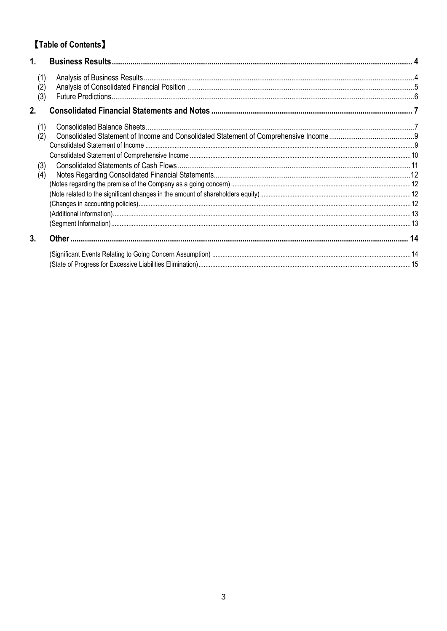# [Table of Contents]

| 1.                |  |
|-------------------|--|
| (1)<br>(2)<br>(3) |  |
| 2.                |  |
| (1)<br>(2)        |  |
| (3)<br>(4)        |  |
|                   |  |
| 3.                |  |
|                   |  |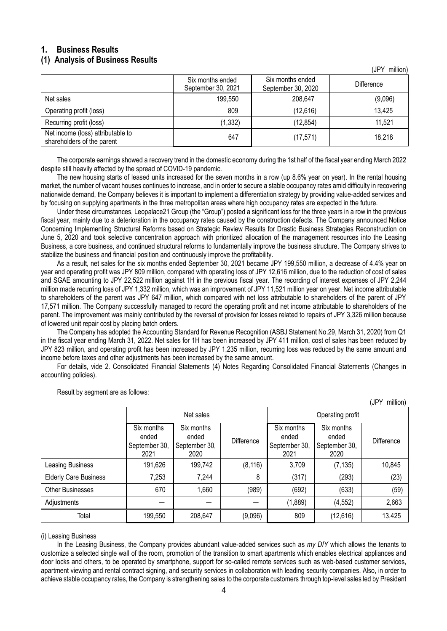# <span id="page-3-0"></span>**1. Business Results**

## <span id="page-3-1"></span>**(1) Analysis of Business Results**

|                                                                 | Six months ended<br>September 30, 2021 | Six months ended<br>September 30, 2020 | Difference |
|-----------------------------------------------------------------|----------------------------------------|----------------------------------------|------------|
| Net sales                                                       | 199,550                                | 208,647                                | (9,096)    |
| Operating profit (loss)                                         | 809                                    | (12,616)                               | 13,425     |
| Recurring profit (loss)                                         | (1, 332)                               | (12, 854)                              | 11,521     |
| Net income (loss) attributable to<br>shareholders of the parent | 647                                    | (17, 571)                              | 18,218     |

The corporate earnings showed a recovery trend in the domestic economy during the 1st half of the fiscal year ending March 2022 despite still heavily affected by the spread of COVID-19 pandemic.

The new housing starts of leased units increased for the seven months in a row (up 8.6% year on year). In the rental housing market, the number of vacant houses continues to increase, and in order to secure a stable occupancy rates amid difficulty in recovering nationwide demand, the Company believes it is important to implement a differentiation strategy by providing value-added services and by focusing on supplying apartments in the three metropolitan areas where high occupancy rates are expected in the future.

Under these circumstances, Leopalace21 Group (the "Group") posted a significant loss for the three years in a row in the previous fiscal year, mainly due to a deterioration in the occupancy rates caused by the construction defects. The Company announced Notice Concerning Implementing Structural Reforms based on Strategic Review Results for Drastic Business Strategies Reconstruction on June 5, 2020 and took selective concentration approach with prioritized allocation of the management resources into the Leasing Business, a core business, and continued structural reforms to fundamentally improve the business structure. The Company strives to stabilize the business and financial position and continuously improve the profitability.

As a result, net sales for the six months ended September 30, 2021 became JPY 199,550 million, a decrease of 4.4% year on year and operating profit was JPY 809 million, compared with operating loss of JPY 12,616 million, due to the reduction of cost of sales and SGAE amounting to JPY 22,522 million against 1H in the previous fiscal year. The recording of interest expenses of JPY 2,244 million made recurring loss of JPY 1,332 million, which was an improvement of JPY 11,521 million year on year. Net income attributable to shareholders of the parent was JPY 647 million, which compared with net loss attributable to shareholders of the parent of JPY 17,571 million. The Company successfully managed to record the operating profit and net income attributable to shareholders of the parent. The improvement was mainly contributed by the reversal of provision for losses related to repairs of JPY 3,326 million because of lowered unit repair cost by placing batch orders.

The Company has adopted the Accounting Standard for Revenue Recognition (ASBJ Statement No.29, March 31, 2020) from Q1 in the fiscal year ending March 31, 2022. Net sales for 1H has been increased by JPY 411 million, cost of sales has been reduced by JPY 823 million, and operating profit has been increased by JPY 1,235 million, recurring loss was reduced by the same amount and income before taxes and other adjustments has been increased by the same amount.

For details, vide 2. Consolidated Financial Statements (4) Notes Regarding Consolidated Financial Statements (Changes in accounting policies).

|                              | Net sales                                    |                                              |            | Operating profit                             |                                              |            |
|------------------------------|----------------------------------------------|----------------------------------------------|------------|----------------------------------------------|----------------------------------------------|------------|
|                              | Six months<br>ended<br>September 30,<br>2021 | Six months<br>ended<br>September 30,<br>2020 | Difference | Six months<br>ended<br>September 30,<br>2021 | Six months<br>ended<br>September 30,<br>2020 | Difference |
| Leasing Business             | 191,626                                      | 199,742                                      | (8, 116)   | 3,709                                        | (7, 135)                                     | 10,845     |
| <b>Elderly Care Business</b> | 7,253                                        | 7,244                                        | 8          | (317)                                        | (293)                                        | (23)       |
| <b>Other Businesses</b>      | 670                                          | 1,660                                        | (989)      | (692)                                        | (633)                                        | (59)       |
| Adjustments                  |                                              |                                              |            | (1,889)                                      | (4, 552)                                     | 2,663      |
| Total                        | 199,550                                      | 208,647                                      | (9,096)    | 809                                          | (12, 616)                                    | 13,425     |

Result by segment are as follows:

## (i) Leasing Business

In the Leasing Business, the Company provides abundant value-added services such as *my DIY* which allows the tenants to customize a selected single wall of the room, promotion of the transition to smart apartments which enables electrical appliances and door locks and others, to be operated by smartphone, support for so-called remote services such as web-based customer services, apartment viewing and rental contract signing, and security services in collaboration with leading security companies. Also, in order to achieve stable occupancy rates, the Company is strengthening sales to the corporate customers through top-level sales led by President

(JPY million)

(JPY million)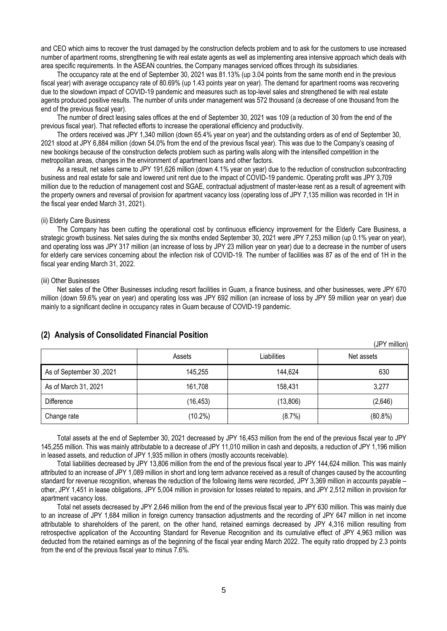and CEO which aims to recover the trust damaged by the construction defects problem and to ask for the customers to use increased number of apartment rooms, strengthening tie with real estate agents as well as implementing area intensive approach which deals with area specific requirements. In the ASEAN countries, the Company manages serviced offices through its subsidiaries.

The occupancy rate at the end of September 30, 2021 was 81.13% (up 3.04 points from the same month end in the previous fiscal year) with average occupancy rate of 80.69% (up 1.43 points year on year). The demand for apartment rooms was recovering due to the slowdown impact of COVID-19 pandemic and measures such as top-level sales and strengthened tie with real estate agents produced positive results. The number of units under management was 572 thousand (a decrease of one thousand from the end of the previous fiscal year).

The number of direct leasing sales offices at the end of September 30, 2021 was 109 (a reduction of 30 from the end of the previous fiscal year). That reflected efforts to increase the operational efficiency and productivity.

The orders received was JPY 1,340 million (down 65.4% year on year) and the outstanding orders as of end of September 30, 2021 stood at JPY 6,884 million (down 54.0% from the end of the previous fiscal year). This was due to the Company's ceasing of new bookings because of the construction defects problem such as parting walls along with the intensified competition in the metropolitan areas, changes in the environment of apartment loans and other factors.

As a result, net sales came to JPY 191,626 million (down 4.1% year on year) due to the reduction of construction subcontracting business and real estate for sale and lowered unit rent due to the impact of COVID-19 pandemic. Operating profit was JPY 3,709 million due to the reduction of management cost and SGAE, contractual adjustment of master-lease rent as a result of agreement with the property owners and reversal of provision for apartment vacancy loss (operating loss of JPY 7,135 million was recorded in 1H in the fiscal year ended March 31, 2021).

#### (ii) Elderly Care Business

The Company has been cutting the operational cost by continuous efficiency improvement for the Elderly Care Business, a strategic growth business. Net sales during the six months ended September 30, 2021 were JPY 7,253 million (up 0.1% year on year), and operating loss was JPY 317 million (an increase of loss by JPY 23 million year on year) due to a decrease in the number of users for elderly care services concerning about the infection risk of COVID-19. The number of facilities was 87 as of the end of 1H in the fiscal year ending March 31, 2022.

#### (iii) Other Businesses

Net sales of the Other Businesses including resort facilities in Guam, a finance business, and other businesses, were JPY 670 million (down 59.6% year on year) and operating loss was JPY 692 million (an increase of loss by JPY 59 million year on year) due mainly to a significant decline in occupancy rates in Guam because of COVID-19 pandemic.

| $\cdot$ $\cdot$          |           |             | (JPY million) |
|--------------------------|-----------|-------------|---------------|
|                          | Assets    | Liabilities | Net assets    |
| As of September 30, 2021 | 145,255   | 144,624     | 630           |
| As of March 31, 2021     | 161,708   | 158,431     | 3,277         |
| Difference               | (16, 453) | (13,806)    | (2,646)       |
| Change rate              | (10.2%)   | (8.7%)      | $(80.8\%)$    |

# <span id="page-4-0"></span>**(2) Analysis of Consolidated Financial Position**

Total assets at the end of September 30, 2021 decreased by JPY 16,453 million from the end of the previous fiscal year to JPY 145,255 million. This was mainly attributable to a decrease of JPY 11,010 million in cash and deposits, a reduction of JPY 1,196 million in leased assets, and reduction of JPY 1,935 million in others (mostly accounts receivable).

Total liabilities decreased by JPY 13,806 million from the end of the previous fiscal year to JPY 144,624 million. This was mainly attributed to an increase of JPY 1,089 million in short and long term advance received as a result of changes caused by the accounting standard for revenue recognition, whereas the reduction of the following items were recorded, JPY 3,369 million in accounts payable – other, JPY 1,451 in lease obligations, JPY 5,004 million in provision for losses related to repairs, and JPY 2,512 million in provision for apartment vacancy loss.

Total net assets decreased by JPY 2,646 million from the end of the previous fiscal year to JPY 630 million. This was mainly due to an increase of JPY 1,684 million in foreign currency transaction adjustments and the recording of JPY 647 million in net income attributable to shareholders of the parent, on the other hand, retained earnings decreased by JPY 4,316 million resulting from retrospective application of the Accounting Standard for Revenue Recognition and its cumulative effect of JPY 4,963 million was deducted from the retained earnings as of the beginning of the fiscal year ending March 2022. The equity ratio dropped by 2.3 points from the end of the previous fiscal year to minus 7.6%.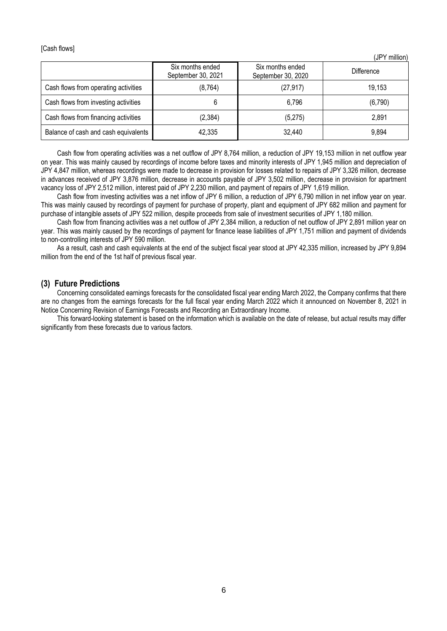[Cash flows]

(JPY million)

|                                      | Six months ended<br>September 30, 2021 | Six months ended<br>September 30, 2020 | <b>Difference</b> |
|--------------------------------------|----------------------------------------|----------------------------------------|-------------------|
| Cash flows from operating activities | (8, 764)                               | (27, 917)                              | 19,153            |
| Cash flows from investing activities |                                        | 6,796                                  | (6,790)           |
| Cash flows from financing activities | (2,384)                                | (5,275)                                | 2,891             |
| Balance of cash and cash equivalents | 42,335                                 | 32,440                                 | 9,894             |

Cash flow from operating activities was a net outflow of JPY 8,764 million, a reduction of JPY 19,153 million in net outflow year on year. This was mainly caused by recordings of income before taxes and minority interests of JPY 1,945 million and depreciation of JPY 4,847 million, whereas recordings were made to decrease in provision for losses related to repairs of JPY 3,326 million, decrease in advances received of JPY 3,876 million, decrease in accounts payable of JPY 3,502 million, decrease in provision for apartment vacancy loss of JPY 2,512 million, interest paid of JPY 2,230 million, and payment of repairs of JPY 1,619 million.

Cash flow from investing activities was a net inflow of JPY 6 million, a reduction of JPY 6,790 million in net inflow year on year. This was mainly caused by recordings of payment for purchase of property, plant and equipment of JPY 682 million and payment for purchase of intangible assets of JPY 522 million, despite proceeds from sale of investment securities of JPY 1,180 million.

Cash flow from financing activities was a net outflow of JPY 2,384 million, a reduction of net outflow of JPY 2,891 million year on year. This was mainly caused by the recordings of payment for finance lease liabilities of JPY 1,751 million and payment of dividends to non-controlling interests of JPY 590 million.

As a result, cash and cash equivalents at the end of the subject fiscal year stood at JPY 42,335 million, increased by JPY 9,894 million from the end of the 1st half of previous fiscal year.

#### <span id="page-5-0"></span>**(3) Future Predictions**

Concerning consolidated earnings forecasts for the consolidated fiscal year ending March 2022, the Company confirms that there are no changes from the earnings forecasts for the full fiscal year ending March 2022 which it announced on November 8, 2021 in Notice Concerning Revision of Earnings Forecasts and Recording an Extraordinary Income.

This forward-looking statement is based on the information which is available on the date of release, but actual results may differ significantly from these forecasts due to various factors.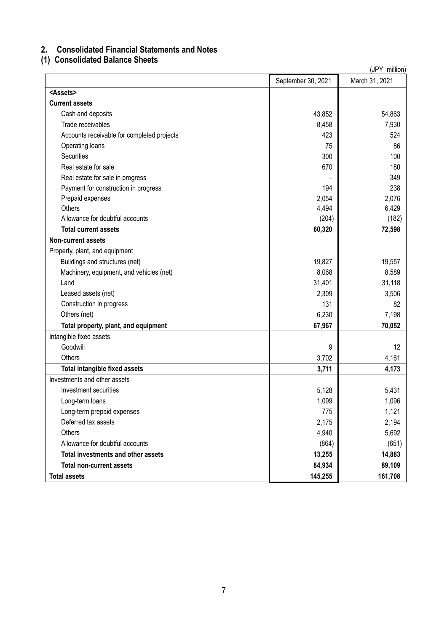# <span id="page-6-0"></span>**2. Consolidated Financial Statements and Notes**

# <span id="page-6-1"></span>**(1) Consolidated Balance Sheets**

| (JPY million)                              |                    |                |  |  |
|--------------------------------------------|--------------------|----------------|--|--|
|                                            | September 30, 2021 | March 31, 2021 |  |  |
| <assets></assets>                          |                    |                |  |  |
| <b>Current assets</b>                      |                    |                |  |  |
| Cash and deposits                          | 43,852             | 54,863         |  |  |
| Trade receivables                          | 8,458              | 7,930          |  |  |
| Accounts receivable for completed projects | 423                | 524            |  |  |
| Operating loans                            | 75                 | 86             |  |  |
| <b>Securities</b>                          | 300                | 100            |  |  |
| Real estate for sale                       | 670                | 180            |  |  |
| Real estate for sale in progress           |                    | 349            |  |  |
| Payment for construction in progress       | 194                | 238            |  |  |
| Prepaid expenses                           | 2,054              | 2,076          |  |  |
| Others                                     | 4,494              | 6,429          |  |  |
| Allowance for doubtful accounts            | (204)              | (182)          |  |  |
| <b>Total current assets</b>                | 60,320             | 72,598         |  |  |
| <b>Non-current assets</b>                  |                    |                |  |  |
| Property, plant, and equipment             |                    |                |  |  |
| Buildings and structures (net)             | 19,827             | 19,557         |  |  |
| Machinery, equipment, and vehicles (net)   | 8,068              | 8,589          |  |  |
| Land                                       | 31,401             | 31,118         |  |  |
| Leased assets (net)                        | 2,309              | 3,506          |  |  |
| Construction in progress                   | 131                | 82             |  |  |
| Others (net)                               | 6,230              | 7,198          |  |  |
| Total property, plant, and equipment       | 67,967             | 70,052         |  |  |
| Intangible fixed assets                    |                    |                |  |  |
| Goodwill                                   | 9                  | 12             |  |  |
| Others                                     | 3,702              | 4,161          |  |  |
| Total intangible fixed assets              | 3,711              | 4,173          |  |  |
| Investments and other assets               |                    |                |  |  |
| Investment securities                      | 5,128              | 5,431          |  |  |
| Long-term loans                            | 1,099              | 1,096          |  |  |
| Long-term prepaid expenses                 | 775                | 1,121          |  |  |
| Deferred tax assets                        | 2,175              | 2,194          |  |  |
| Others                                     | 4,940              | 5,692          |  |  |
| Allowance for doubtful accounts            | (864)              | (651)          |  |  |
| Total investments and other assets         | 13,255             | 14,883         |  |  |
| <b>Total non-current assets</b>            | 84,934             | 89,109         |  |  |
| <b>Total assets</b>                        | 145,255            | 161,708        |  |  |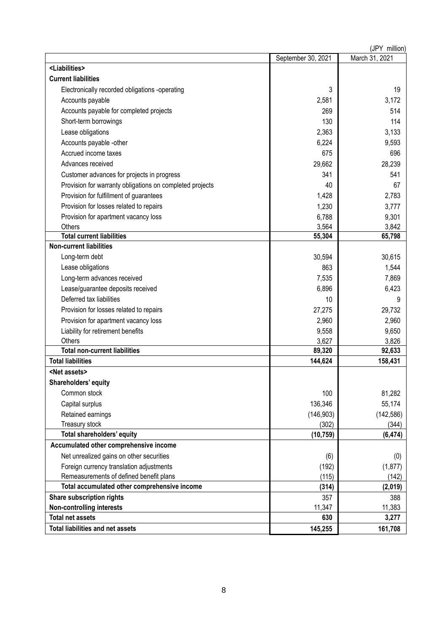|                                                          |                    | (JPY million)  |
|----------------------------------------------------------|--------------------|----------------|
|                                                          | September 30, 2021 | March 31, 2021 |
| <liabilities></liabilities>                              |                    |                |
| <b>Current liabilities</b>                               |                    |                |
| Electronically recorded obligations -operating           | 3                  | 19             |
| Accounts payable                                         | 2,581              | 3,172          |
| Accounts payable for completed projects                  | 269                | 514            |
| Short-term borrowings                                    | 130                | 114            |
| Lease obligations                                        | 2,363              | 3,133          |
| Accounts payable -other                                  | 6,224              | 9,593          |
| Accrued income taxes                                     | 675                | 696            |
| Advances received                                        | 29,662             | 28,239         |
| Customer advances for projects in progress               | 341                | 541            |
| Provision for warranty obligations on completed projects | 40                 | 67             |
| Provision for fulfillment of guarantees                  | 1,428              | 2,783          |
| Provision for losses related to repairs                  | 1,230              | 3,777          |
| Provision for apartment vacancy loss                     | 6,788              | 9,301          |
| Others                                                   | 3,564              | 3,842          |
| <b>Total current liabilities</b>                         | 55,304             | 65,798         |
| <b>Non-current liabilities</b>                           |                    |                |
| Long-term debt                                           | 30,594             | 30,615         |
| Lease obligations                                        | 863                | 1,544          |
| Long-term advances received                              | 7,535              | 7,869          |
| Lease/guarantee deposits received                        | 6,896              | 6,423          |
| Deferred tax liabilities                                 | 10                 | 9              |
| Provision for losses related to repairs                  | 27,275             | 29,732         |
| Provision for apartment vacancy loss                     | 2,960              | 2,960          |
| Liability for retirement benefits                        | 9,558              | 9,650          |
| Others                                                   | 3,627              | 3,826          |
| <b>Total non-current liabilities</b>                     | 89,320             | 92,633         |
| <b>Total liabilities</b>                                 | 144,624            | 158,431        |
| <net assets=""></net>                                    |                    |                |
| Shareholders' equity                                     |                    |                |
| Common stock                                             | 100                | 81,282         |
| Capital surplus                                          | 136,346            | 55,174         |
| Retained earnings                                        | (146, 903)         | (142, 586)     |
| Treasury stock                                           | (302)              | (344)          |
| Total shareholders' equity                               | (10, 759)          | (6, 474)       |
| Accumulated other comprehensive income                   |                    |                |
| Net unrealized gains on other securities                 | (6)                | (0)            |
| Foreign currency translation adjustments                 | (192)              | (1, 877)       |
| Remeasurements of defined benefit plans                  | (115)              | (142)          |
| Total accumulated other comprehensive income             | (314)              | (2,019)        |
| Share subscription rights                                | 357                | 388            |
| <b>Non-controlling interests</b>                         | 11,347             | 11,383         |
| <b>Total net assets</b>                                  | 630                | 3,277          |
| <b>Total liabilities and net assets</b>                  | 145,255            | 161,708        |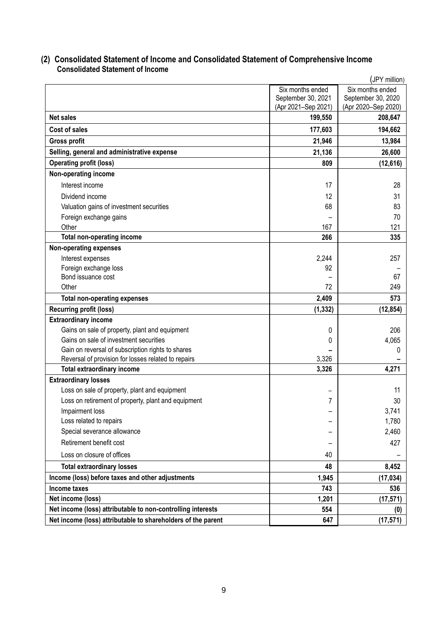# <span id="page-8-0"></span>**(2) Consolidated Statement of Income and Consolidated Statement of Comprehensive Income Consolidated Statement of Income**

<span id="page-8-1"></span>

| (JPY million)                                                |                     |                     |  |  |
|--------------------------------------------------------------|---------------------|---------------------|--|--|
|                                                              | Six months ended    | Six months ended    |  |  |
|                                                              | September 30, 2021  | September 30, 2020  |  |  |
|                                                              | (Apr 2021-Sep 2021) | (Apr 2020-Sep 2020) |  |  |
| <b>Net sales</b>                                             | 199,550             | 208,647             |  |  |
| Cost of sales                                                | 177,603             | 194,662             |  |  |
| <b>Gross profit</b>                                          | 21,946              | 13,984              |  |  |
| Selling, general and administrative expense                  | 21,136              | 26,600              |  |  |
| <b>Operating profit (loss)</b>                               | 809                 | (12, 616)           |  |  |
| Non-operating income                                         |                     |                     |  |  |
| Interest income                                              | 17                  | 28                  |  |  |
| Dividend income                                              | 12                  | 31                  |  |  |
| Valuation gains of investment securities                     | 68                  | 83                  |  |  |
| Foreign exchange gains                                       |                     | 70                  |  |  |
| Other                                                        | 167                 | 121                 |  |  |
| <b>Total non-operating income</b>                            | 266                 | 335                 |  |  |
| <b>Non-operating expenses</b>                                |                     |                     |  |  |
| Interest expenses                                            | 2,244               | 257                 |  |  |
| Foreign exchange loss                                        | 92                  |                     |  |  |
| Bond issuance cost                                           |                     | 67                  |  |  |
| Other                                                        | 72                  | 249                 |  |  |
| <b>Total non-operating expenses</b>                          | 2,409               | 573                 |  |  |
| <b>Recurring profit (loss)</b>                               | (1, 332)            | (12, 854)           |  |  |
| <b>Extraordinary income</b>                                  |                     |                     |  |  |
| Gains on sale of property, plant and equipment               | 0                   | 206                 |  |  |
| Gains on sale of investment securities                       | 0                   | 4,065               |  |  |
| Gain on reversal of subscription rights to shares            |                     | 0                   |  |  |
| Reversal of provision for losses related to repairs          | 3,326               |                     |  |  |
| <b>Total extraordinary income</b>                            | 3,326               | 4,271               |  |  |
| <b>Extraordinary losses</b>                                  |                     |                     |  |  |
| Loss on sale of property, plant and equipment                |                     | 11                  |  |  |
| Loss on retirement of property, plant and equipment          | 7                   | 30                  |  |  |
| Impairment loss                                              |                     | 3,741               |  |  |
| Loss related to repairs                                      |                     | 1,780               |  |  |
| Special severance allowance                                  |                     | 2,460               |  |  |
| Retirement benefit cost                                      |                     | 427                 |  |  |
| Loss on closure of offices                                   | 40                  |                     |  |  |
| <b>Total extraordinary losses</b>                            | 48                  | 8,452               |  |  |
| Income (loss) before taxes and other adjustments             | 1,945               | (17, 034)           |  |  |
| <b>Income taxes</b>                                          | 743                 | 536                 |  |  |
| Net income (loss)                                            | 1,201               | (17, 571)           |  |  |
| Net income (loss) attributable to non-controlling interests  | 554                 | (0)                 |  |  |
| Net income (loss) attributable to shareholders of the parent | 647                 | (17, 571)           |  |  |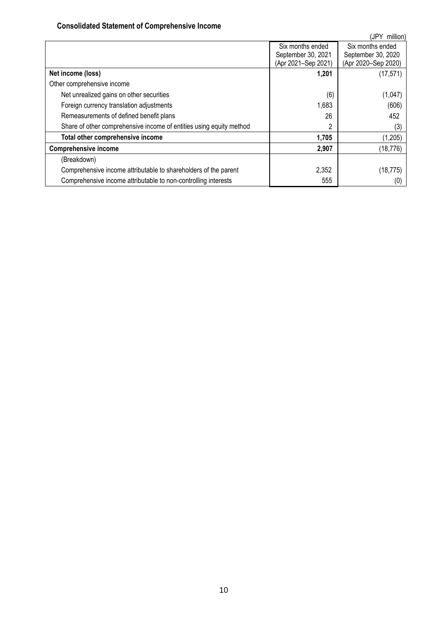# **Consolidated Statement of Comprehensive Income**

<span id="page-9-0"></span>

|                                                                     |                     | (JPY<br>million)    |
|---------------------------------------------------------------------|---------------------|---------------------|
|                                                                     | Six months ended    | Six months ended    |
|                                                                     | September 30, 2021  | September 30, 2020  |
|                                                                     | (Apr 2021-Sep 2021) | (Apr 2020-Sep 2020) |
| Net income (loss)                                                   | 1,201               | (17, 571)           |
| Other comprehensive income                                          |                     |                     |
| Net unrealized gains on other securities                            | (6)                 | (1,047)             |
| Foreign currency translation adjustments                            | 1,683               | (606)               |
| Remeasurements of defined benefit plans                             | 26                  | 452                 |
| Share of other comprehensive income of entities using equity method | 2                   | (3)                 |
| Total other comprehensive income                                    | 1,705               | (1,205)             |
| <b>Comprehensive income</b>                                         | 2,907               | (18, 776)           |
| (Breakdown)                                                         |                     |                     |
| Comprehensive income attributable to shareholders of the parent     | 2,352               | (18, 775)           |
| Comprehensive income attributable to non-controlling interests      | 555                 | (0                  |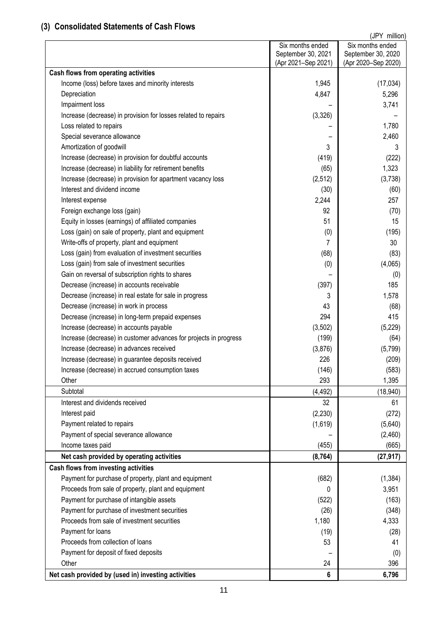# <span id="page-10-0"></span>**(3) Consolidated Statements of Cash Flows**

|                                                                   |                     | (JPY million)       |
|-------------------------------------------------------------------|---------------------|---------------------|
|                                                                   | Six months ended    | Six months ended    |
|                                                                   | September 30, 2021  | September 30, 2020  |
| Cash flows from operating activities                              | (Apr 2021-Sep 2021) | (Apr 2020-Sep 2020) |
| Income (loss) before taxes and minority interests                 | 1,945               |                     |
| Depreciation                                                      | 4,847               | (17, 034)<br>5,296  |
|                                                                   |                     | 3,741               |
| Impairment loss                                                   |                     |                     |
| Increase (decrease) in provision for losses related to repairs    | (3,326)             |                     |
| Loss related to repairs                                           |                     | 1,780               |
| Special severance allowance                                       | 3                   | 2,460               |
| Amortization of goodwill                                          |                     |                     |
| Increase (decrease) in provision for doubtful accounts            | (419)               | (222)               |
| Increase (decrease) in liability for retirement benefits          | (65)                | 1,323               |
| Increase (decrease) in provision for apartment vacancy loss       | (2, 512)            | (3,738)             |
| Interest and dividend income                                      | (30)                | (60)                |
| Interest expense                                                  | 2,244               | 257                 |
| Foreign exchange loss (gain)                                      | 92                  | (70)                |
| Equity in losses (earnings) of affiliated companies               | 51                  | 15                  |
| Loss (gain) on sale of property, plant and equipment              | (0)                 | (195)               |
| Write-offs of property, plant and equipment                       | 7                   | 30                  |
| Loss (gain) from evaluation of investment securities              | (68)                | (83)                |
| Loss (gain) from sale of investment securities                    | (0)                 | (4,065)             |
| Gain on reversal of subscription rights to shares                 |                     | (0)                 |
| Decrease (increase) in accounts receivable                        | (397)               | 185                 |
| Decrease (increase) in real estate for sale in progress           | 3                   | 1,578               |
| Decrease (increase) in work in process                            | 43                  | (68)                |
| Decrease (increase) in long-term prepaid expenses                 | 294                 | 415                 |
| Increase (decrease) in accounts payable                           | (3,502)             | (5,229)             |
| Increase (decrease) in customer advances for projects in progress | (199)               | (64)                |
| Increase (decrease) in advances received                          | (3,876)             | (5,799)             |
| Increase (decrease) in guarantee deposits received                | 226                 | (209)               |
| Increase (decrease) in accrued consumption taxes                  | (146)               | (583)               |
| Other                                                             | 293                 | 1,395               |
| Subtotal                                                          | (4, 492)            | (18, 940)           |
| Interest and dividends received                                   | 32                  | 61                  |
| Interest paid                                                     | (2, 230)            | (272)               |
| Payment related to repairs                                        | (1,619)             | (5,640)             |
| Payment of special severance allowance                            |                     | (2,460)             |
| Income taxes paid                                                 | (455)               | (665)               |
| Net cash provided by operating activities                         | (8, 764)            | (27, 917)           |
| Cash flows from investing activities                              |                     |                     |
| Payment for purchase of property, plant and equipment             | (682)               | (1, 384)            |
| Proceeds from sale of property, plant and equipment               | 0                   | 3,951               |
| Payment for purchase of intangible assets                         | (522)               | (163)               |
| Payment for purchase of investment securities                     | (26)                | (348)               |
| Proceeds from sale of investment securities                       | 1,180               | 4,333               |
| Payment for loans                                                 | (19)                | (28)                |
| Proceeds from collection of loans                                 | 53                  | 41                  |
| Payment for deposit of fixed deposits                             |                     | (0)                 |
| Other                                                             | 24                  | 396                 |
| Net cash provided by (used in) investing activities               | 6                   | 6,796               |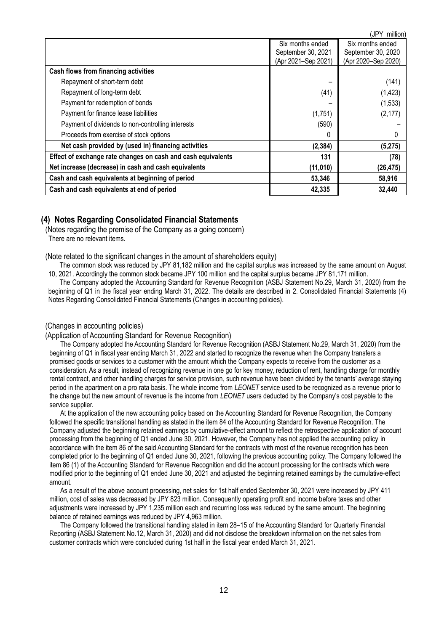|                                                                  |                     | (JPY<br>million)    |
|------------------------------------------------------------------|---------------------|---------------------|
|                                                                  | Six months ended    | Six months ended    |
|                                                                  | September 30, 2021  | September 30, 2020  |
|                                                                  | (Apr 2021-Sep 2021) | (Apr 2020-Sep 2020) |
| Cash flows from financing activities                             |                     |                     |
| Repayment of short-term debt                                     |                     | (141)               |
| Repayment of long-term debt                                      | (41)                | (1, 423)            |
| Payment for redemption of bonds                                  |                     | (1,533)             |
| Payment for finance lease liabilities                            | (1,751)             | (2, 177)            |
| Payment of dividends to non-controlling interests                | (590)               |                     |
| Proceeds from exercise of stock options                          | 0                   |                     |
| Net cash provided by (used in) financing activities              | (2, 384)            | (5,275)             |
| Effect of exchange rate changes on cash and cash equivalents     | 131                 | (78)                |
| Net increase (decrease) in cash and cash equivalents<br>(11,010) |                     | (26, 475)           |
| Cash and cash equivalents at beginning of period                 | 53,346              | 58,916              |
| Cash and cash equivalents at end of period                       | 42,335              | 32,440              |

## <span id="page-11-0"></span>**(4) Notes Regarding Consolidated Financial Statements**

<span id="page-11-1"></span>(Notes regarding the premise of the Company as a going concern) There are no relevant items.

<span id="page-11-2"></span>(Note related to the significant changes in the amount of shareholders equity)

The common stock was reduced by JPY 81,182 million and the capital surplus was increased by the same amount on August 10, 2021. Accordingly the common stock became JPY 100 million and the capital surplus became JPY 81,171 million.

The Company adopted the Accounting Standard for Revenue Recognition (ASBJ Statement No.29, March 31, 2020) from the beginning of Q1 in the fiscal year ending March 31, 2022. The details are described in 2. Consolidated Financial Statements (4) Notes Regarding Consolidated Financial Statements (Changes in accounting policies).

#### <span id="page-11-3"></span>(Changes in accounting policies)

(Application of Accounting Standard for Revenue Recognition)

The Company adopted the Accounting Standard for Revenue Recognition (ASBJ Statement No.29, March 31, 2020) from the beginning of Q1 in fiscal year ending March 31, 2022 and started to recognize the revenue when the Company transfers a promised goods or services to a customer with the amount which the Company expects to receive from the customer as a consideration. As a result, instead of recognizing revenue in one go for key money, reduction of rent, handling charge for monthly rental contract, and other handling charges for service provision, such revenue have been divided by the tenants' average staying period in the apartment on a pro rata basis. The whole income from *LEONET* service used to be recognized as a revenue prior to the change but the new amount of revenue is the income from *LEONET* users deducted by the Company's cost payable to the service supplier.

At the application of the new accounting policy based on the Accounting Standard for Revenue Recognition, the Company followed the specific transitional handling as stated in the item 84 of the Accounting Standard for Revenue Recognition. The Company adjusted the beginning retained earnings by cumulative-effect amount to reflect the retrospective application of account processing from the beginning of Q1 ended June 30, 2021. However, the Company has not applied the accounting policy in accordance with the item 86 of the said Accounting Standard for the contracts with most of the revenue recognition has been completed prior to the beginning of Q1 ended June 30, 2021, following the previous accounting policy. The Company followed the item 86 (1) of the Accounting Standard for Revenue Recognition and did the account processing for the contracts which were modified prior to the beginning of Q1 ended June 30, 2021 and adjusted the beginning retained earnings by the cumulative-effect amount.

As a result of the above account processing, net sales for 1st half ended September 30, 2021 were increased by JPY 411 million, cost of sales was decreased by JPY 823 million. Consequently operating profit and income before taxes and other adjustments were increased by JPY 1,235 million each and recurring loss was reduced by the same amount. The beginning balance of retained earnings was reduced by JPY 4,963 million.

The Company followed the transitional handling stated in item 28–15 of the Accounting Standard for Quarterly Financial Reporting (ASBJ Statement No.12, March 31, 2020) and did not disclose the breakdown information on the net sales from customer contracts which were concluded during 1st half in the fiscal year ended March 31, 2021.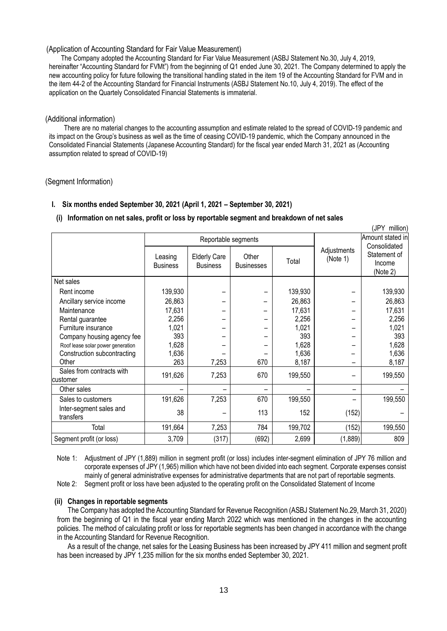#### (Application of Accounting Standard for Fair Value Measurement)

The Company adopted the Accounting Standard for Fiar Value Measurement (ASBJ Statement No.30, July 4, 2019, hereinafter "Accounting Standard for FVMt") from the beginning of Q1 ended June 30, 2021. The Company determined to apply the new accounting policy for future following the transitional handling stated in the item 19 of the Accounting Standard for FVM and in the item 44-2 of the Accounting Standard for Financial Instruments (ASBJ Statement No.10, July 4, 2019). The effect of the application on the Quartely Consolidated Financial Statements is immaterial.

#### <span id="page-12-0"></span>(Additional information)

There are no material changes to the accounting assumption and estimate related to the spread of COVID-19 pandemic and its impact on the Group's business as well as the time of ceasing COVID-19 pandemic, which the Company announced in the Consolidated Financial Statements (Japanese Accounting Standard) for the fiscal year ended March 31, 2021 as (Accounting assumption related to spread of COVID-19)

 $\ell$  in  $\ell$  million)

#### <span id="page-12-1"></span>(Segment Information)

## **I. Six months ended September 30, 2021 (April 1, 2021 – September 30, 2021)**

## **(i) Information on net sales, profit or loss by reportable segment and breakdown of net sales**

| (JPY MIIIION)                         |                            |                                        |                            |         |                         |                                                    |
|---------------------------------------|----------------------------|----------------------------------------|----------------------------|---------|-------------------------|----------------------------------------------------|
|                                       | Reportable segments        |                                        |                            |         |                         | Amount stated in                                   |
|                                       | Leasing<br><b>Business</b> | <b>Elderly Care</b><br><b>Business</b> | Other<br><b>Businesses</b> | Total   | Adjustments<br>(Note 1) | Consolidated<br>Statement of<br>Income<br>(Note 2) |
| Net sales                             |                            |                                        |                            |         |                         |                                                    |
| Rent income                           | 139,930                    |                                        |                            | 139,930 |                         | 139,930                                            |
| Ancillary service income              | 26,863                     |                                        |                            | 26,863  |                         | 26,863                                             |
| Maintenance                           | 17,631                     |                                        |                            | 17,631  |                         | 17,631                                             |
| Rental guarantee                      | 2,256                      |                                        |                            | 2,256   |                         | 2,256                                              |
| Furniture insurance                   | 1,021                      |                                        |                            | 1,021   |                         | 1,021                                              |
| Company housing agency fee            | 393                        |                                        |                            | 393     |                         | 393                                                |
| Roof lease solar power generation     | 1,628                      |                                        |                            | 1,628   |                         | 1,628                                              |
| Construction subcontracting           | 1,636                      |                                        |                            | 1,636   |                         | 1,636                                              |
| Other                                 | 263                        | 7,253                                  | 670                        | 8,187   |                         | 8,187                                              |
| Sales from contracts with<br>customer | 191,626                    | 7,253                                  | 670                        | 199,550 |                         | 199,550                                            |
| Other sales                           |                            | $\overline{\phantom{0}}$               |                            |         |                         |                                                    |
| Sales to customers                    | 191,626                    | 7,253                                  | 670                        | 199,550 |                         | 199,550                                            |
| Inter-segment sales and<br>transfers  | 38                         |                                        | 113                        | 152     | (152)                   |                                                    |
| Total                                 | 191,664                    | 7,253                                  | 784                        | 199,702 | (152)                   | 199,550                                            |
| Segment profit (or loss)              | 3,709                      | (317)                                  | (692)                      | 2,699   | (1,889)                 | 809                                                |

Note 1: Adjustment of JPY (1,889) million in segment profit (or loss) includes inter-segment elimination of JPY 76 million and corporate expenses of JPY (1,965) million which have not been divided into each segment. Corporate expenses consist mainly of general administrative expenses for administrative departments that are not part of reportable segments. Note 2: Segment profit or loss have been adjusted to the operating profit on the Consolidated Statement of Income

#### **(ii) Changes in reportable segments**

The Company has adopted the Accounting Standard for Revenue Recognition (ASBJ Statement No.29, March 31, 2020) from the beginning of Q1 in the fiscal year ending March 2022 which was mentioned in the changes in the accounting policies. The method of calculating profit or loss for reportable segments has been changed in accordance with the change in the Accounting Standard for Revenue Recognition.

As a result of the change, net sales for the Leasing Business has been increased by JPY 411 million and segment profit has been increased by JPY 1,235 million for the six months ended September 30, 2021.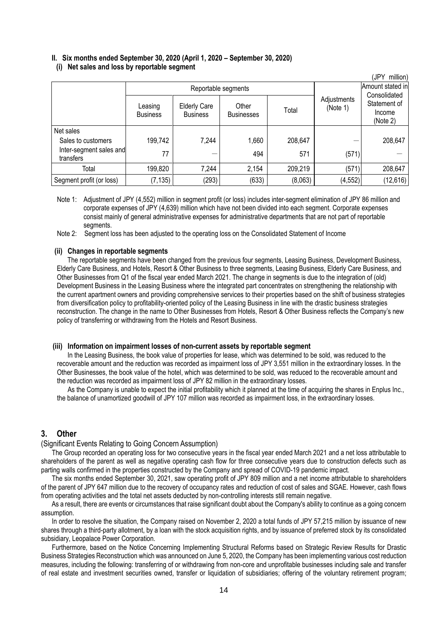# **II. Six months ended September 30, 2020 (April 1, 2020 – September 30, 2020)**

#### **(i) Net sales and loss by reportable segment**

| (JPY<br>million)                     |                            |                                        |                            |         |                         |                                                    |
|--------------------------------------|----------------------------|----------------------------------------|----------------------------|---------|-------------------------|----------------------------------------------------|
|                                      | Reportable segments        |                                        |                            |         | Amount stated in        |                                                    |
|                                      | Leasing<br><b>Business</b> | <b>Elderly Care</b><br><b>Business</b> | Other<br><b>Businesses</b> | Total   | Adjustments<br>(Note 1) | Consolidated<br>Statement of<br>Income<br>(Note 2) |
| Net sales                            |                            |                                        |                            |         |                         |                                                    |
| Sales to customers                   | 199,742                    | 7,244                                  | 1,660                      | 208,647 |                         | 208,647                                            |
| Inter-segment sales and<br>transfers | 77                         |                                        | 494                        | 571     | (571)                   |                                                    |
| Total                                | 199,820                    | 7,244                                  | 2,154                      | 209,219 | (571)                   | 208,647                                            |
| Segment profit (or loss)             | (7, 135)                   | (293)                                  | (633)                      | (8,063) | (4, 552)                | (12, 616)                                          |

Note 1: Adjustment of JPY (4,552) million in segment profit (or loss) includes inter-segment elimination of JPY 86 million and corporate expenses of JPY (4,639) million which have not been divided into each segment. Corporate expenses consist mainly of general administrative expenses for administrative departments that are not part of reportable segments.

Note 2: Segment loss has been adjusted to the operating loss on the Consolidated Statement of Income

#### **(ii) Changes in reportable segments**

The reportable segments have been changed from the previous four segments, Leasing Business, Development Business, Elderly Care Business, and Hotels, Resort & Other Business to three segments, Leasing Business, Elderly Care Business, and Other Businesses from Q1 of the fiscal year ended March 2021. The change in segments is due to the integration of (old) Development Business in the Leasing Business where the integrated part concentrates on strengthening the relationship with the current apartment owners and providing comprehensive services to their properties based on the shift of business strategies from diversification policy to profitability-oriented policy of the Leasing Business in line with the drastic business strategies reconstruction. The change in the name to Other Businesses from Hotels, Resort & Other Business reflects the Company's new policy of transferring or withdrawing from the Hotels and Resort Business.

## **(iii) Information on impairment losses of non-current assets by reportable segment**

In the Leasing Business, the book value of properties for lease, which was determined to be sold, was reduced to the recoverable amount and the reduction was recorded as impairment loss of JPY 3,551 million in the extraordinary losses. In the Other Businesses, the book value of the hotel, which was determined to be sold, was reduced to the recoverable amount and the reduction was recorded as impairment loss of JPY 82 million in the extraordinary losses.

As the Company is unable to expect the initial profitability which it planned at the time of acquiring the shares in Enplus Inc., the balance of unamortized goodwill of JPY 107 million was recorded as impairment loss, in the extraordinary losses.

# <span id="page-13-0"></span>**3. Other**

#### <span id="page-13-1"></span>(Significant Events Relating to Going Concern Assumption)

The Group recorded an operating loss for two consecutive years in the fiscal year ended March 2021 and a net loss attributable to shareholders of the parent as well as negative operating cash flow for three consecutive years due to construction defects such as parting walls confirmed in the properties constructed by the Company and spread of COVID-19 pandemic impact.

The six months ended September 30, 2021, saw operating profit of JPY 809 million and a net income attributable to shareholders of the parent of JPY 647 million due to the recovery of occupancy rates and reduction of cost of sales and SGAE. However, cash flows from operating activities and the total net assets deducted by non-controlling interests still remain negative.

As a result, there are events or circumstances that raise significant doubt about the Company's ability to continue as a going concern assumption.

In order to resolve the situation, the Company raised on November 2, 2020 a total funds of JPY 57,215 million by issuance of new shares through a third-party allotment, by a loan with the stock acquisition rights, and by issuance of preferred stock by its consolidated subsidiary, Leopalace Power Corporation.

Furthermore, based on the Notice Concerning Implementing Structural Reforms based on Strategic Review Results for Drastic Business Strategies Reconstruction which was announced on June 5, 2020, the Company has been implementing various cost reduction measures, including the following: transferring of or withdrawing from non-core and unprofitable businesses including sale and transfer of real estate and investment securities owned, transfer or liquidation of subsidiaries; offering of the voluntary retirement program;